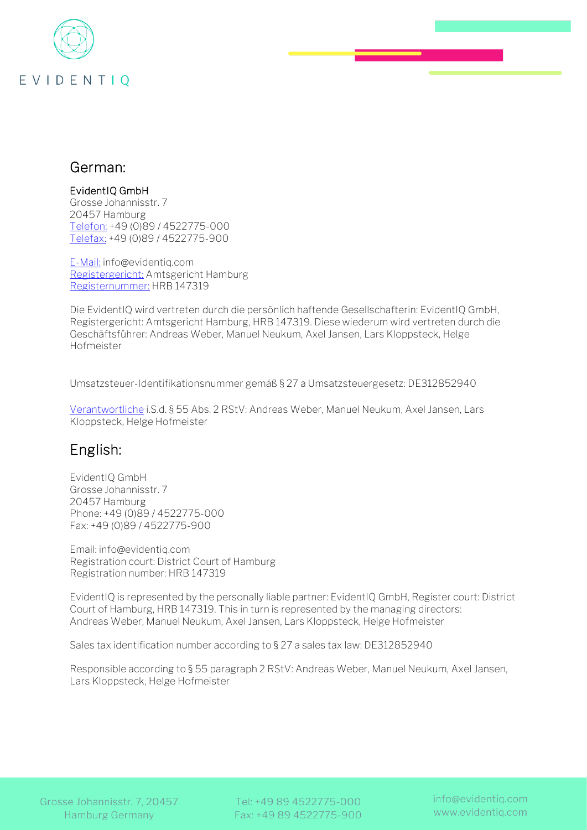

## German:

## EvidentIQ GmbH

Grosse Johannisstr. 7 20457 Hamburg [Telefon:](https://www.it-recht-kanzlei.de/Tools/Impressum/generator.php) +49 (0)89 / 4522775-000 [Telefax:](https://www.it-recht-kanzlei.de/Tools/Impressum/generator.php) +49 (0)89 / 4522775-900

[E-Mail:](https://www.it-recht-kanzlei.de/Tools/Impressum/generator.php) info@evidentiq.co[m](https://www.it-recht-kanzlei.de/Tools/Impressum/generator.php) [Registergericht:](https://www.it-recht-kanzlei.de/Tools/Impressum/generator.php) Amtsgericht Hamburg [Registernummer:](https://www.it-recht-kanzlei.de/Tools/Impressum/generator.php) HRB 147319

Die EvidentIQ wird vertreten durch die persönlich haftende Gesellschafterin: EvidentIQ GmbH, Registergericht: Amtsgericht Hamburg, HRB 147319. Diese wiederum wird vertreten durch die Geschäftsführer: Andreas Weber, Manuel Neukum, Axel Jansen, Lars Kloppsteck, Helge Hofmeister

Umsatzsteuer-Identifikationsnummer gemäß § 27 a Umsatzsteuergesetz: DE312852940

[Verantwortliche](https://www.it-recht-kanzlei.de/Tools/Impressum/generator.php) i.S.d. § 55 Abs. 2 RStV: Andreas Weber, Manuel Neukum, Axel Jansen, Lars Kloppsteck, Helge Hofmeister

## English:

EvidentIQ GmbH Grosse Johannisstr. 7 20457 Hamburg Phone: +49 (0)89 / 4522775-000 Fax: +49 (0)89 / 4522775-900

Email: info@evidentiq.com Registration court: District Court of Hamburg Registration number: HRB 147319

EvidentIQ is represented by the personally liable partner: EvidentIQ GmbH, Register court: District Court of Hamburg, HRB 147319. This in turn is represented by the managing directors: Andreas Weber, Manuel Neukum, Axel Jansen, Lars Kloppsteck, Helge Hofmeister

Sales tax identification number according to § 27 a sales tax law: DE312852940

Responsible according to § 55 paragraph 2 RStV: Andreas Weber, Manuel Neukum, Axel Jansen, Lars Kloppsteck, Helge Hofmeister

Grosse Johannisstr. 7, 20457 **Hamburg Germany** 

Tel: +49 89 4522775-000 Fax: +49 89 4522775-900 info@evidentiq.com www.evidentig.com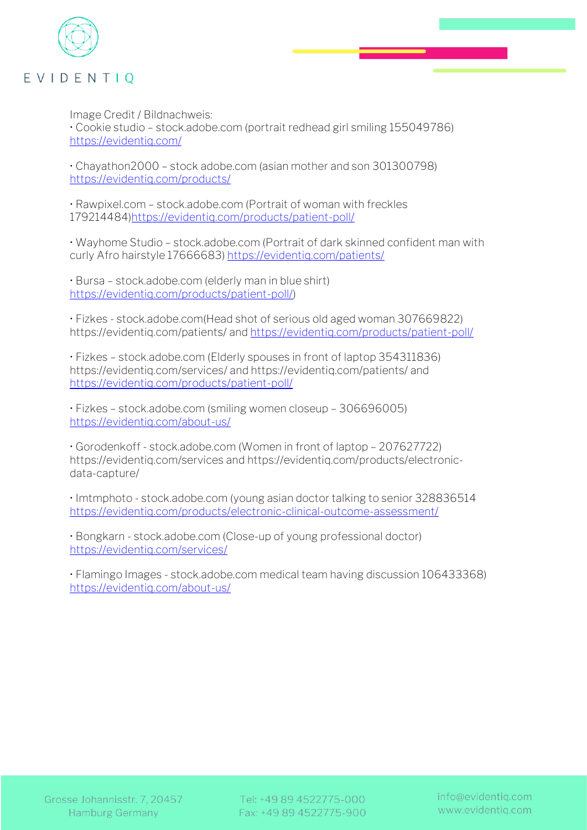

Image Credit / Bildnachweis:

• Cookie studio – stock.adobe.com (portrait redhead girl smiling 155049786) <https://evidentiq.com/>

• Chayathon2000 – stock adobe.com (asian mother and son 301300798) <https://evidentiq.com/products/>

• Rawpixel.com – stock.adobe.com (Portrait of woman with freckles 179214484[\)https://evidentiq.com/products/patient-poll/](https://evidentiq.com/products/patient-poll/)

• Wayhome Studio – stock.adobe.com (Portrait of dark skinned confident man with curly Afro hairstyle 17666683[\) https://evidentiq.com/patients/](https://evidentiq.com/patients/)

• Bursa – stock.adobe.com (elderly man in blue shirt) [https://evidentiq.com/products/patient-poll/\)](https://evidentiq.com/products/patient-poll/)

• Fizkes - stock.adobe.com(Head shot of serious old aged woman 307669822) https://evidentiq.com/patients/ and<https://evidentiq.com/products/patient-poll/>

• Fizkes – stock.adobe.com (Elderly spouses in front of laptop 354311836) https://evidentiq.com/services/ and https://evidentiq.com/patients/ and <https://evidentiq.com/products/patient-poll/>

• Fizkes – stock.adobe.com (smiling women closeup – 306696005) <https://evidentiq.com/about-us/>

• Gorodenkoff - stock.adobe.com (Women in front of laptop – 207627722) https://evidentiq.com/services and https://evidentiq.com/products/electronicdata-capture/

• Imtmphoto - stock.adobe.com (young asian doctor talking to senior 328836514 <https://evidentiq.com/products/electronic-clinical-outcome-assessment/>

• Bongkarn - stock.adobe.com (Close-up of young professional doctor) <https://evidentiq.com/services/>

• Flamingo Images - stock.adobe.com medical team having discussion 106433368) <https://evidentiq.com/about-us/>

Tel: +49 89 4522775-000 Fax: +49 89 4522775-900